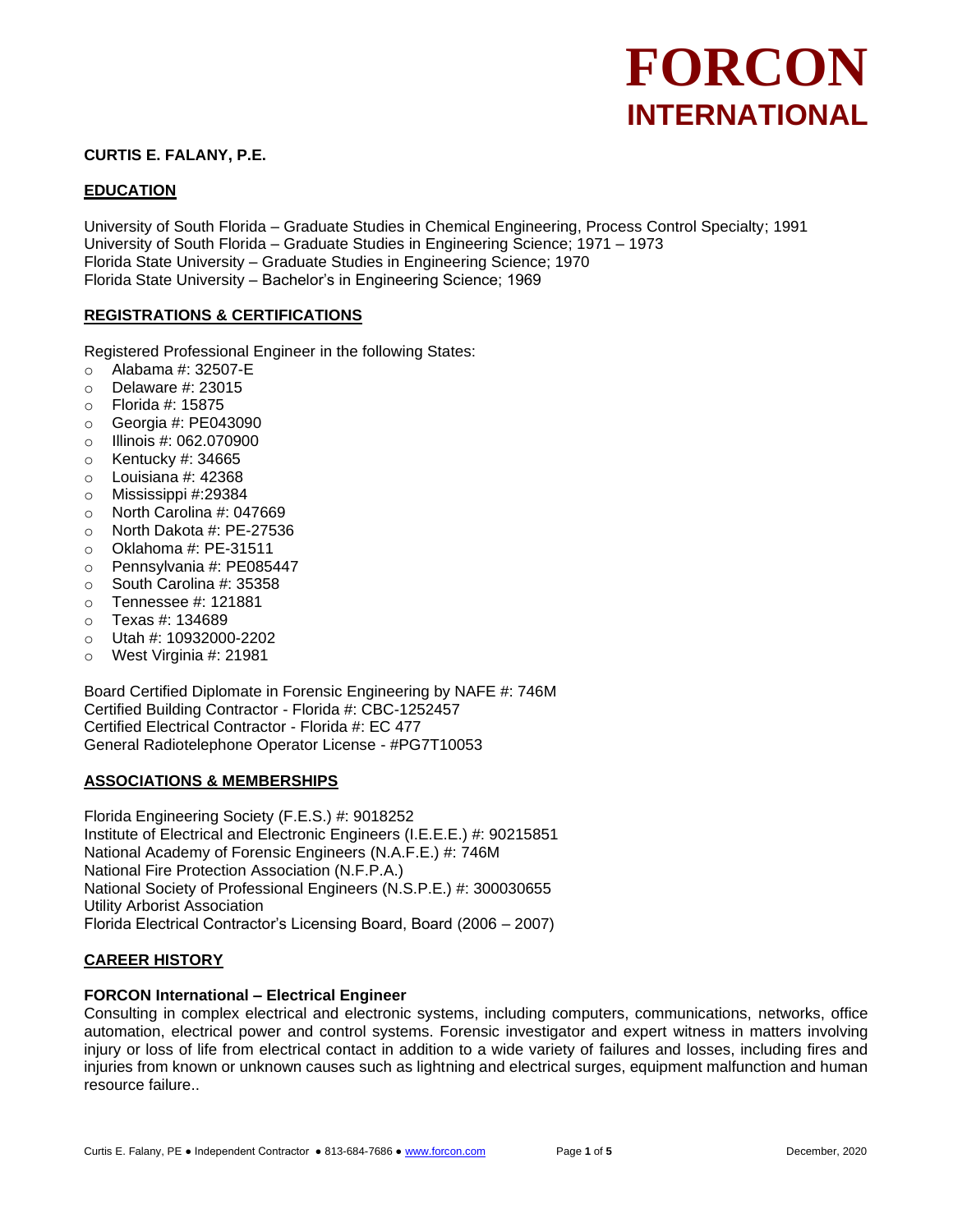# **CURTIS E. FALANY, P.E.**

# **EDUCATION**

University of South Florida – Graduate Studies in Chemical Engineering, Process Control Specialty; 1991 University of South Florida – Graduate Studies in Engineering Science; 1971 – 1973 Florida State University – Graduate Studies in Engineering Science; 1970 Florida State University – Bachelor's in Engineering Science; 1969

# **REGISTRATIONS & CERTIFICATIONS**

Registered Professional Engineer in the following States:

- o Alabama #: 32507-E
- $\circ$  Delaware #: 23015
- o Florida #: 15875
- o Georgia #: PE043090
- o Illinois #: 062.070900
- $\circ$  Kentucky #: 34665
- $\circ$  Louisiana #: 42368
- o Mississippi #:29384
- o North Carolina #: 047669
- o North Dakota #: PE-27536
- o Oklahoma #: PE-31511
- o Pennsylvania #: PE085447
- o South Carolina #: 35358
- o Tennessee #: 121881
- o Texas #: 134689
- o Utah #: 10932000-2202
- o West Virginia #: 21981

Board Certified Diplomate in Forensic Engineering by NAFE #: 746M Certified Building Contractor - Florida #: CBC-1252457 Certified Electrical Contractor - Florida #: EC 477 General Radiotelephone Operator License - #PG7T10053

## **ASSOCIATIONS & MEMBERSHIPS**

Florida Engineering Society (F.E.S.) #: 9018252 Institute of Electrical and Electronic Engineers (I.E.E.E.) #: 90215851 National Academy of Forensic Engineers (N.A.F.E.) #: 746M National Fire Protection Association (N.F.P.A.) National Society of Professional Engineers (N.S.P.E.) #: 300030655 Utility Arborist Association Florida Electrical Contractor's Licensing Board, Board (2006 – 2007)

## **CAREER HISTORY**

# **FORCON International – Electrical Engineer**

Consulting in complex electrical and electronic systems, including computers, communications, networks, office automation, electrical power and control systems. Forensic investigator and expert witness in matters involving injury or loss of life from electrical contact in addition to a wide variety of failures and losses, including fires and injuries from known or unknown causes such as lightning and electrical surges, equipment malfunction and human resource failure..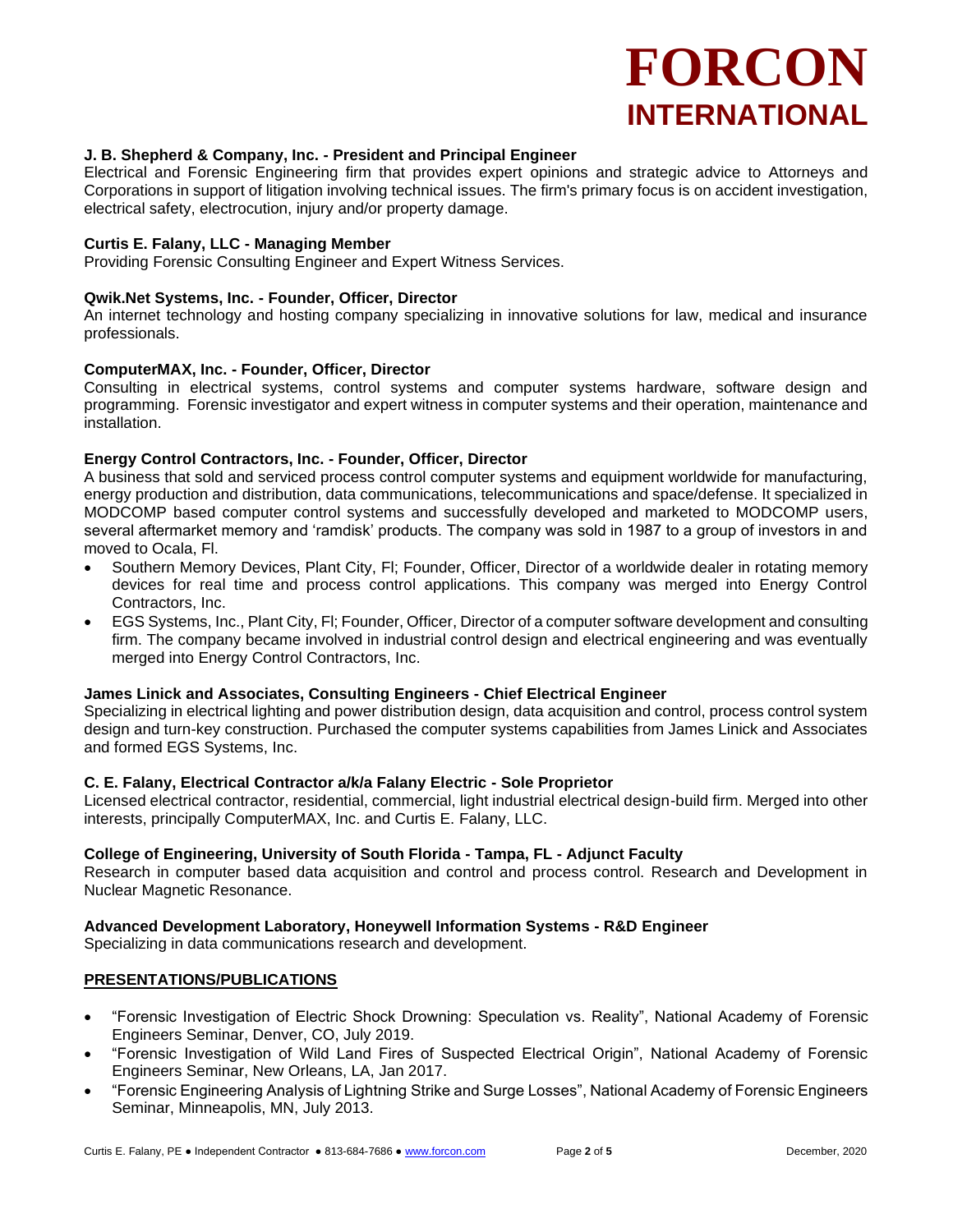### **J. B. Shepherd & Company, Inc. - President and Principal Engineer**

Electrical and Forensic Engineering firm that provides expert opinions and strategic advice to Attorneys and Corporations in support of litigation involving technical issues. The firm's primary focus is on accident investigation, electrical safety, electrocution, injury and/or property damage.

#### **Curtis E. Falany, LLC - Managing Member**

Providing Forensic Consulting Engineer and Expert Witness Services.

#### **Qwik.Net Systems, Inc. - Founder, Officer, Director**

An internet technology and hosting company specializing in innovative solutions for law, medical and insurance professionals.

#### **ComputerMAX, Inc. - Founder, Officer, Director**

Consulting in electrical systems, control systems and computer systems hardware, software design and programming. Forensic investigator and expert witness in computer systems and their operation, maintenance and installation.

#### **Energy Control Contractors, Inc. - Founder, Officer, Director**

A business that sold and serviced process control computer systems and equipment worldwide for manufacturing, energy production and distribution, data communications, telecommunications and space/defense. It specialized in MODCOMP based computer control systems and successfully developed and marketed to MODCOMP users, several aftermarket memory and 'ramdisk' products. The company was sold in 1987 to a group of investors in and moved to Ocala, Fl.

- Southern Memory Devices, Plant City, Fl; Founder, Officer, Director of a worldwide dealer in rotating memory devices for real time and process control applications. This company was merged into Energy Control Contractors, Inc.
- EGS Systems, Inc., Plant City, Fl; Founder, Officer, Director of a computer software development and consulting firm. The company became involved in industrial control design and electrical engineering and was eventually merged into Energy Control Contractors, Inc.

#### **James Linick and Associates, Consulting Engineers - Chief Electrical Engineer**

Specializing in electrical lighting and power distribution design, data acquisition and control, process control system design and turn-key construction. Purchased the computer systems capabilities from James Linick and Associates and formed EGS Systems, Inc.

#### **C. E. Falany, Electrical Contractor a/k/a Falany Electric - Sole Proprietor**

Licensed electrical contractor, residential, commercial, light industrial electrical design-build firm. Merged into other interests, principally ComputerMAX, Inc. and Curtis E. Falany, LLC.

#### **College of Engineering, University of South Florida - Tampa, FL - Adjunct Faculty**

Research in computer based data acquisition and control and process control. Research and Development in Nuclear Magnetic Resonance.

#### **Advanced Development Laboratory, Honeywell Information Systems - R&D Engineer**

Specializing in data communications research and development.

## **PRESENTATIONS/PUBLICATIONS**

- "Forensic Investigation of Electric Shock Drowning: Speculation vs. Reality", National Academy of Forensic Engineers Seminar, Denver, CO, July 2019.
- "Forensic Investigation of Wild Land Fires of Suspected Electrical Origin", National Academy of Forensic Engineers Seminar, New Orleans, LA, Jan 2017.
- "Forensic Engineering Analysis of Lightning Strike and Surge Losses", National Academy of Forensic Engineers Seminar, Minneapolis, MN, July 2013.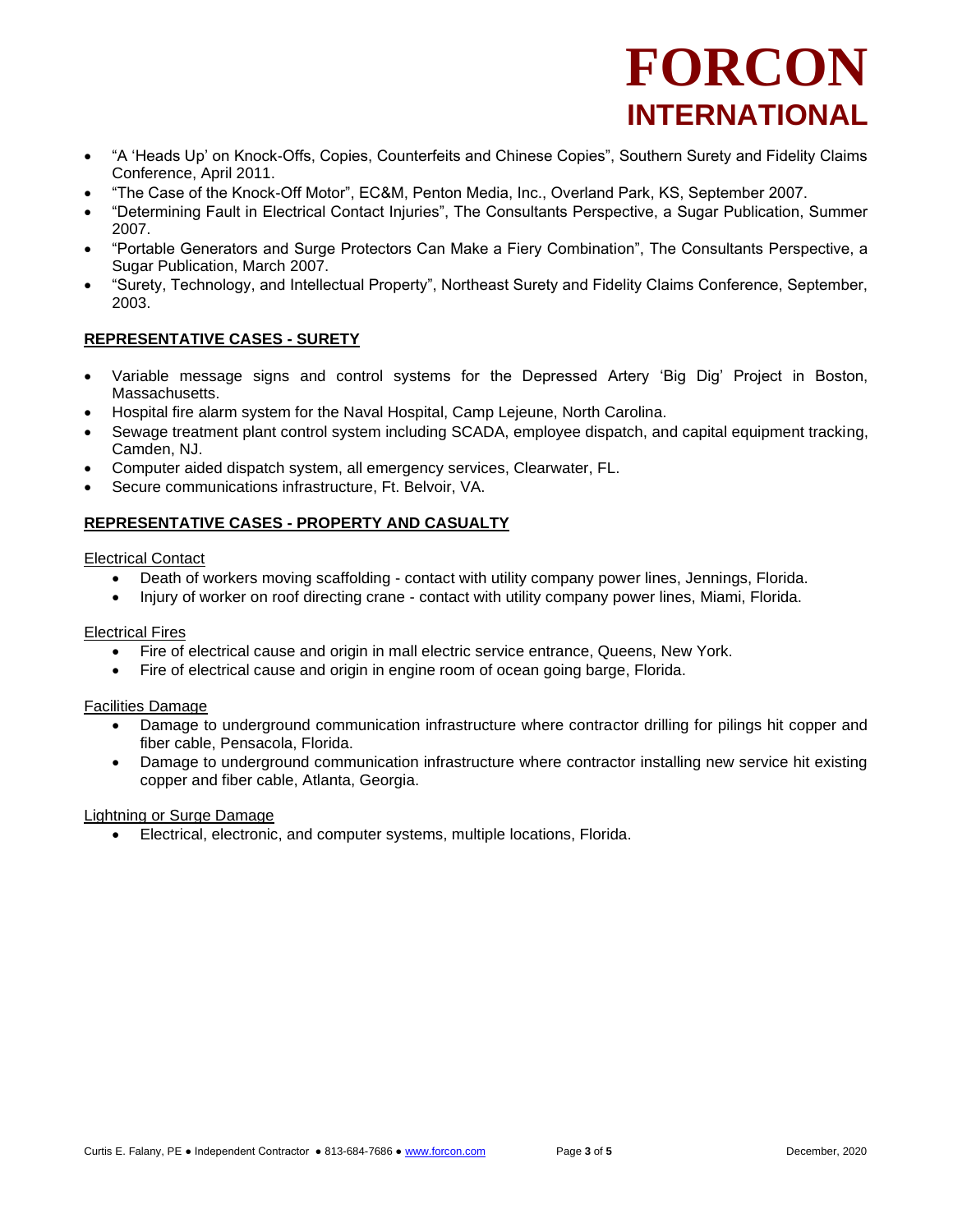- "A 'Heads Up' on Knock-Offs, Copies, Counterfeits and Chinese Copies", Southern Surety and Fidelity Claims Conference, April 2011.
- "The Case of the Knock-Off Motor", EC&M, Penton Media, Inc., Overland Park, KS, September 2007.
- "Determining Fault in Electrical Contact Injuries", The Consultants Perspective, a Sugar Publication, Summer 2007.
- "Portable Generators and Surge Protectors Can Make a Fiery Combination", The Consultants Perspective, a Sugar Publication, March 2007.
- "Surety, Technology, and Intellectual Property", Northeast Surety and Fidelity Claims Conference, September, 2003.

# **REPRESENTATIVE CASES - SURETY**

- Variable message signs and control systems for the Depressed Artery 'Big Dig' Project in Boston, Massachusetts.
- Hospital fire alarm system for the Naval Hospital, Camp Lejeune, North Carolina.
- Sewage treatment plant control system including SCADA, employee dispatch, and capital equipment tracking, Camden, NJ.
- Computer aided dispatch system, all emergency services, Clearwater, FL.
- Secure communications infrastructure, Ft. Belvoir, VA.

# **REPRESENTATIVE CASES - PROPERTY AND CASUALTY**

## Electrical Contact

- Death of workers moving scaffolding contact with utility company power lines, Jennings, Florida.
- Injury of worker on roof directing crane contact with utility company power lines, Miami, Florida.

## Electrical Fires

- Fire of electrical cause and origin in mall electric service entrance, Queens, New York.
- Fire of electrical cause and origin in engine room of ocean going barge, Florida.

## Facilities Damage

- Damage to underground communication infrastructure where contractor drilling for pilings hit copper and fiber cable, Pensacola, Florida.
- Damage to underground communication infrastructure where contractor installing new service hit existing copper and fiber cable, Atlanta, Georgia.

## Lightning or Surge Damage

• Electrical, electronic, and computer systems, multiple locations, Florida.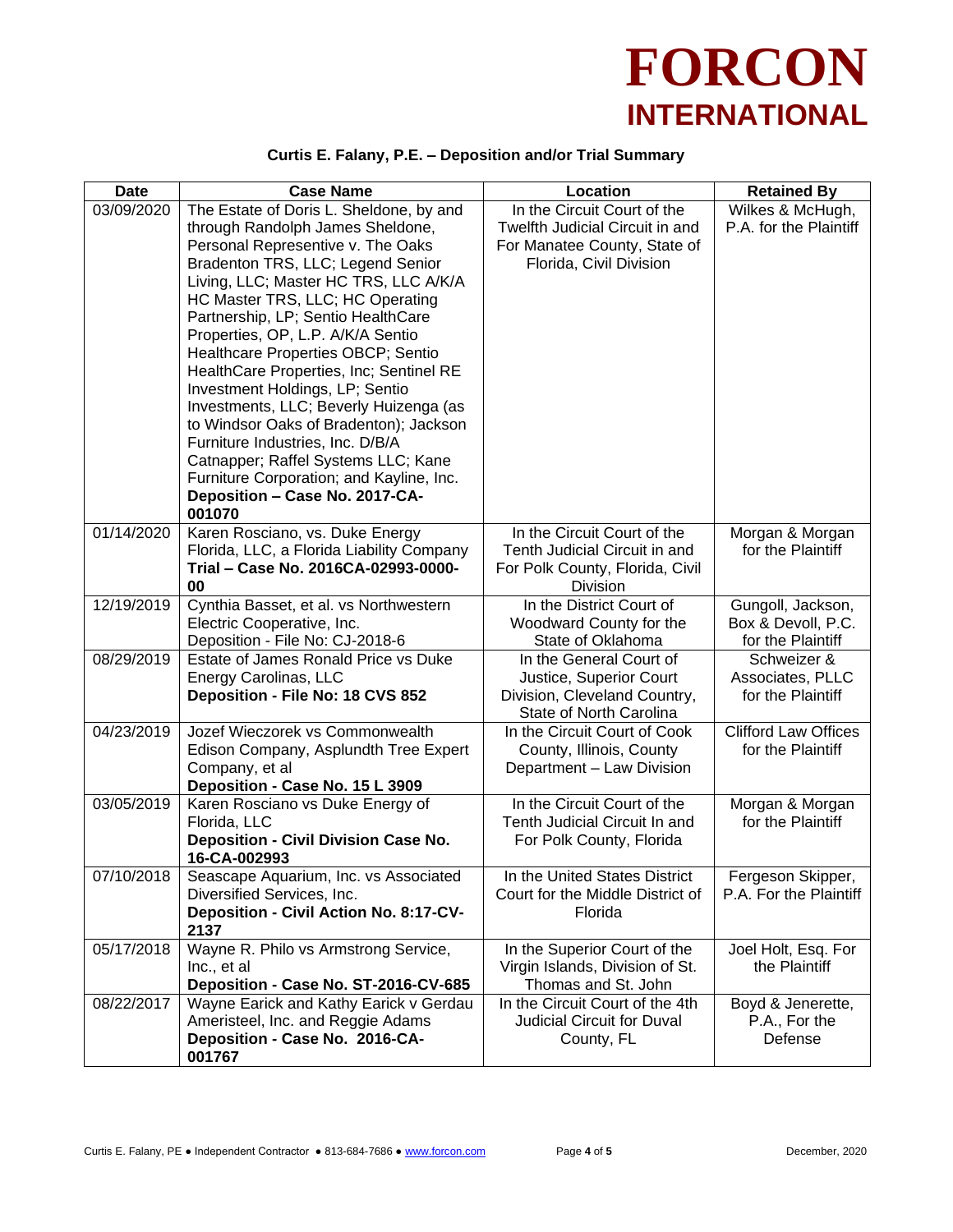

# **Curtis E. Falany, P.E. – Deposition and/or Trial Summary**

| <b>Date</b> | <b>Case Name</b>                                                                                                                                                                                                                                                                                                                                                                                                                                                                                                                                                                                                                                                                         | Location                                                                                                                  | <b>Retained By</b>                                           |
|-------------|------------------------------------------------------------------------------------------------------------------------------------------------------------------------------------------------------------------------------------------------------------------------------------------------------------------------------------------------------------------------------------------------------------------------------------------------------------------------------------------------------------------------------------------------------------------------------------------------------------------------------------------------------------------------------------------|---------------------------------------------------------------------------------------------------------------------------|--------------------------------------------------------------|
| 03/09/2020  | The Estate of Doris L. Sheldone, by and<br>through Randolph James Sheldone,<br>Personal Representive v. The Oaks<br>Bradenton TRS, LLC; Legend Senior<br>Living, LLC; Master HC TRS, LLC A/K/A<br>HC Master TRS, LLC; HC Operating<br>Partnership, LP; Sentio HealthCare<br>Properties, OP, L.P. A/K/A Sentio<br>Healthcare Properties OBCP; Sentio<br>HealthCare Properties, Inc; Sentinel RE<br>Investment Holdings, LP; Sentio<br>Investments, LLC; Beverly Huizenga (as<br>to Windsor Oaks of Bradenton); Jackson<br>Furniture Industries, Inc. D/B/A<br>Catnapper; Raffel Systems LLC; Kane<br>Furniture Corporation; and Kayline, Inc.<br>Deposition - Case No. 2017-CA-<br>001070 | In the Circuit Court of the<br>Twelfth Judicial Circuit in and<br>For Manatee County, State of<br>Florida, Civil Division | Wilkes & McHugh,<br>P.A. for the Plaintiff                   |
| 01/14/2020  | Karen Rosciano, vs. Duke Energy<br>Florida, LLC, a Florida Liability Company<br>Trial - Case No. 2016CA-02993-0000-<br>00                                                                                                                                                                                                                                                                                                                                                                                                                                                                                                                                                                | In the Circuit Court of the<br>Tenth Judicial Circuit in and<br>For Polk County, Florida, Civil<br>Division               | Morgan & Morgan<br>for the Plaintiff                         |
| 12/19/2019  | Cynthia Basset, et al. vs Northwestern<br>Electric Cooperative, Inc.<br>Deposition - File No: CJ-2018-6                                                                                                                                                                                                                                                                                                                                                                                                                                                                                                                                                                                  | In the District Court of<br>Woodward County for the<br>State of Oklahoma                                                  | Gungoll, Jackson,<br>Box & Devoll, P.C.<br>for the Plaintiff |
| 08/29/2019  | Estate of James Ronald Price vs Duke<br>Energy Carolinas, LLC<br>Deposition - File No: 18 CVS 852                                                                                                                                                                                                                                                                                                                                                                                                                                                                                                                                                                                        | In the General Court of<br>Justice, Superior Court<br>Division, Cleveland Country,<br>State of North Carolina             | Schweizer &<br>Associates, PLLC<br>for the Plaintiff         |
| 04/23/2019  | Jozef Wieczorek vs Commonwealth<br>Edison Company, Asplundth Tree Expert<br>Company, et al<br>Deposition - Case No. 15 L 3909                                                                                                                                                                                                                                                                                                                                                                                                                                                                                                                                                            | In the Circuit Court of Cook<br>County, Illinois, County<br>Department - Law Division                                     | <b>Clifford Law Offices</b><br>for the Plaintiff             |
| 03/05/2019  | Karen Rosciano vs Duke Energy of<br>Florida, LLC<br>Deposition - Civil Division Case No.<br>16-CA-002993                                                                                                                                                                                                                                                                                                                                                                                                                                                                                                                                                                                 | In the Circuit Court of the<br>Tenth Judicial Circuit In and<br>For Polk County, Florida                                  | Morgan & Morgan<br>for the Plaintiff                         |
| 07/10/2018  | Seascape Aquarium, Inc. vs Associated<br>Diversified Services, Inc.<br>Deposition - Civil Action No. 8:17-CV-<br>2137                                                                                                                                                                                                                                                                                                                                                                                                                                                                                                                                                                    | In the United States District<br>Court for the Middle District of<br>Florida                                              | Fergeson Skipper,<br>P.A. For the Plaintiff                  |
| 05/17/2018  | Wayne R. Philo vs Armstrong Service,<br>Inc., et al<br>Deposition - Case No. ST-2016-CV-685                                                                                                                                                                                                                                                                                                                                                                                                                                                                                                                                                                                              | In the Superior Court of the<br>Virgin Islands, Division of St.<br>Thomas and St. John                                    | Joel Holt, Esq. For<br>the Plaintiff                         |
| 08/22/2017  | Wayne Earick and Kathy Earick v Gerdau<br>Ameristeel, Inc. and Reggie Adams<br>Deposition - Case No. 2016-CA-<br>001767                                                                                                                                                                                                                                                                                                                                                                                                                                                                                                                                                                  | In the Circuit Court of the 4th<br>Judicial Circuit for Duval<br>County, FL                                               | Boyd & Jenerette,<br>P.A., For the<br>Defense                |